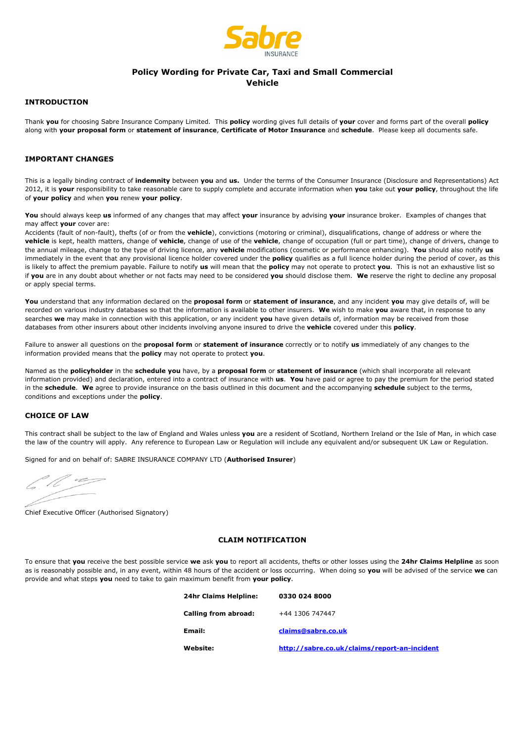

# **Policy Wording for Private Car, Taxi and Small Commercial Vehicle**

# **INTRODUCTION**

Thank **you** for choosing Sabre Insurance Company Limited. This **policy** wording gives full details of **your** cover and forms part of the overall **policy** along with **your proposal form** or **statement of insurance**, **Certificate of Motor Insurance** and **schedule**. Please keep all documents safe.

# **IMPORTANT CHANGES**

This is a legally binding contract of **indemnity** between **you** and **us.** Under the terms of the Consumer Insurance (Disclosure and Representations) Act 2012, it is **your** responsibility to take reasonable care to supply complete and accurate information when **you** take out **your policy**, throughout the life of **your policy** and when **you** renew **your policy**.

**You** should always keep **us** informed of any changes that may affect **your** insurance by advising **your** insurance broker. Examples of changes that may affect **your** cover are:

Accidents (fault of non-fault), thefts (of or from the **vehicle**), convictions (motoring or criminal), disqualifications, change of address or where the **vehicle** is kept, health matters, change of **vehicle**, change of use of the **vehicle**, change of occupation (full or part time), change of drivers, change to the annual mileage, change to the type of driving licence, any **vehicle** modifications (cosmetic or performance enhancing). **You** should also notify **us** immediately in the event that any provisional licence holder covered under the **policy** qualifies as a full licence holder during the period of cover, as this is likely to affect the premium payable. Failure to notify **us** will mean that the **policy** may not operate to protect **you**. This is not an exhaustive list so if **you** are in any doubt about whether or not facts may need to be considered **you** should disclose them. **We** reserve the right to decline any proposal or apply special terms.

**You** understand that any information declared on the **proposal form** or **statement of insurance**, and any incident **you** may give details of, will be recorded on various industry databases so that the information is available to other insurers. **We** wish to make **you** aware that, in response to any searches **we** may make in connection with this application, or any incident **you** have given details of, information may be received from those databases from other insurers about other incidents involving anyone insured to drive the **vehicle** covered under this **policy**.

Failure to answer all questions on the **proposal form** or **statement of insurance** correctly or to notify **us** immediately of any changes to the information provided means that the **policy** may not operate to protect **you**.

Named as the **policyholder** in the **schedule you** have, by a **proposal form** or **statement of insurance** (which shall incorporate all relevant information provided) and declaration, entered into a contract of insurance with **us**. **You** have paid or agree to pay the premium for the period stated in the **schedule**. **We** agree to provide insurance on the basis outlined in this document and the accompanying **schedule** subject to the terms, conditions and exceptions under the **policy**.

### **CHOICE OF LAW**

This contract shall be subject to the law of England and Wales unless **you** are a resident of Scotland, Northern Ireland or the Isle of Man, in which case the law of the country will apply. Any reference to European Law or Regulation will include any equivalent and/or subsequent UK Law or Regulation.

Signed for and on behalf of: SABRE INSURANCE COMPANY LTD (**Authorised Insurer**)

 $\sim$ 

Chief Executive Officer (Authorised Signatory)

### **CLAIM NOTIFICATION**

To ensure that **you** receive the best possible service **we** ask **you** to report all accidents, thefts or other losses using the **24hr Claims Helpline** as soon as is reasonably possible and, in any event, within 48 hours of the accident or loss occurring. When doing so **you** will be advised of the service **we** can provide and what steps **you** need to take to gain maximum benefit from **your policy**.

| 24hr Claims Helpline: | 0330 024 8000                                |
|-----------------------|----------------------------------------------|
| Calling from abroad:  | +44 1306 747447                              |
| Email:                | claims@sabre.co.uk                           |
| Website:              | http://sabre.co.uk/claims/report-an-incident |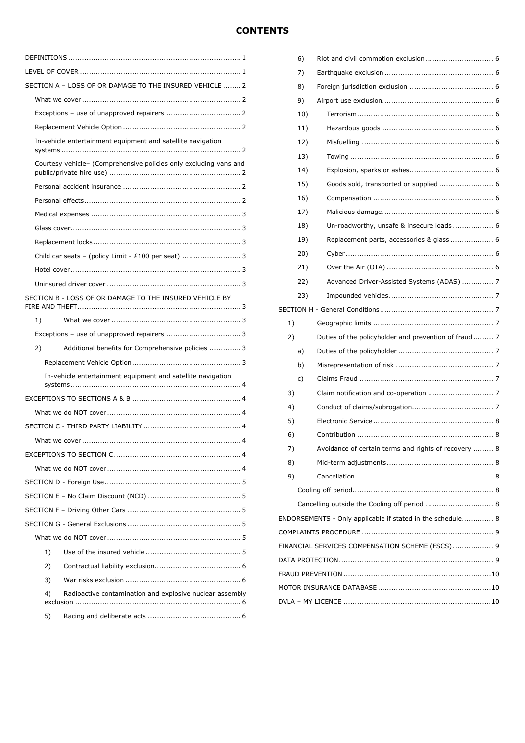# **CONTENTS**

| SECTION A - LOSS OF OR DAMAGE TO THE INSURED VEHICLE  2           |
|-------------------------------------------------------------------|
|                                                                   |
|                                                                   |
|                                                                   |
| In-vehicle entertainment equipment and satellite navigation       |
| Courtesy vehicle- (Comprehensive policies only excluding vans and |
|                                                                   |
|                                                                   |
|                                                                   |
|                                                                   |
|                                                                   |
| Child car seats - (policy Limit - £100 per seat)  3               |
|                                                                   |
|                                                                   |
| SECTION B - LOSS OF OR DAMAGE TO THE INSURED VEHICLE BY           |
| 1)                                                                |
|                                                                   |
| 2)<br>Additional benefits for Comprehensive policies  3           |
|                                                                   |
| In-vehicle entertainment equipment and satellite navigation       |
|                                                                   |
|                                                                   |
|                                                                   |
|                                                                   |
|                                                                   |
|                                                                   |
|                                                                   |
|                                                                   |
|                                                                   |
|                                                                   |
|                                                                   |
| 1)                                                                |
| 2)                                                                |
| 3)                                                                |
| Radioactive contamination and explosive nuclear assembly<br>4)    |
| 5)                                                                |

|                                                 | 6)  |                                                            |  |  |
|-------------------------------------------------|-----|------------------------------------------------------------|--|--|
|                                                 | 7)  |                                                            |  |  |
|                                                 | 8)  |                                                            |  |  |
|                                                 | 9)  |                                                            |  |  |
|                                                 | 10) |                                                            |  |  |
|                                                 | 11) |                                                            |  |  |
|                                                 | 12) |                                                            |  |  |
|                                                 | 13) |                                                            |  |  |
|                                                 | 14) |                                                            |  |  |
|                                                 | 15) |                                                            |  |  |
|                                                 | 16) |                                                            |  |  |
|                                                 | 17) |                                                            |  |  |
|                                                 | 18) | Un-roadworthy, unsafe & insecure loads  6                  |  |  |
|                                                 | 19) |                                                            |  |  |
|                                                 | 20) |                                                            |  |  |
|                                                 | 21) |                                                            |  |  |
|                                                 | 22) | Advanced Driver-Assisted Systems (ADAS)  7                 |  |  |
|                                                 | 23) |                                                            |  |  |
|                                                 |     |                                                            |  |  |
| 1)                                              |     |                                                            |  |  |
| 2)                                              |     | Duties of the policyholder and prevention of fraud 7       |  |  |
|                                                 | a)  |                                                            |  |  |
|                                                 | b)  |                                                            |  |  |
|                                                 | c)  |                                                            |  |  |
| 3)                                              |     |                                                            |  |  |
| 4)                                              |     |                                                            |  |  |
| 5)                                              |     |                                                            |  |  |
| 6)                                              |     |                                                            |  |  |
| 7)                                              |     | Avoidance of certain terms and rights of recovery  8       |  |  |
| 8)                                              |     |                                                            |  |  |
| 9)                                              |     |                                                            |  |  |
|                                                 |     |                                                            |  |  |
|                                                 |     | Cancelling outside the Cooling off period  8               |  |  |
|                                                 |     | ENDORSEMENTS - Only applicable if stated in the schedule 8 |  |  |
|                                                 |     |                                                            |  |  |
| FINANCIAL SERVICES COMPENSATION SCHEME (FSCS) 9 |     |                                                            |  |  |
|                                                 |     |                                                            |  |  |
|                                                 |     |                                                            |  |  |
|                                                 |     |                                                            |  |  |
|                                                 |     |                                                            |  |  |
|                                                 |     |                                                            |  |  |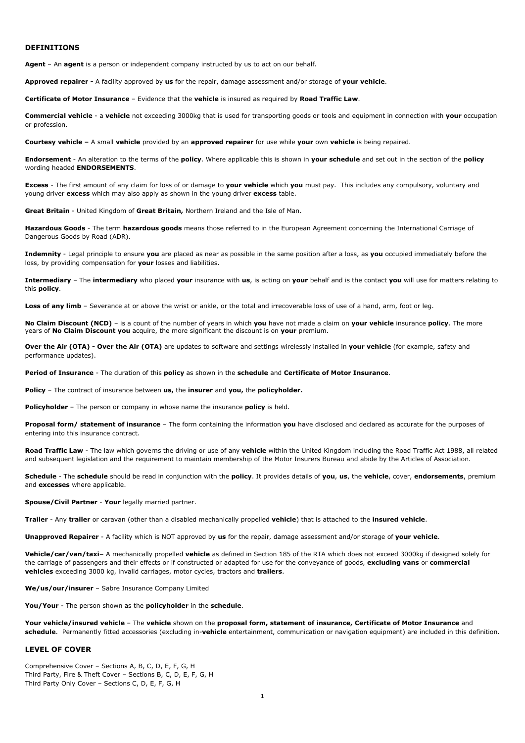#### **DEFINITIONS**

**Agent** – An **agent** is a person or independent company instructed by us to act on our behalf.

**Approved repairer -** A facility approved by **us** for the repair, damage assessment and/or storage of **your vehicle**.

**Certificate of Motor Insurance** – Evidence that the **vehicle** is insured as required by **Road Traffic Law**.

**Commercial vehicle** - a **vehicle** not exceeding 3000kg that is used for transporting goods or tools and equipment in connection with **your** occupation or profession.

**Courtesy vehicle –** A small **vehicle** provided by an **approved repairer** for use while **your** own **vehicle** is being repaired.

**Endorsement** - An alteration to the terms of the **policy**. Where applicable this is shown in **your schedule** and set out in the section of the **policy** wording headed **ENDORSEMENTS**.

**Excess** - The first amount of any claim for loss of or damage to **your vehicle** which **you** must pay. This includes any compulsory, voluntary and young driver **excess** which may also apply as shown in the young driver **excess** table.

**Great Britain** - United Kingdom of **Great Britain,** Northern Ireland and the Isle of Man.

**Hazardous Goods** - The term **hazardous goods** means those referred to in the European Agreement concerning the International Carriage of Dangerous Goods by Road (ADR).

**Indemnity** - Legal principle to ensure **you** are placed as near as possible in the same position after a loss, as **you** occupied immediately before the loss, by providing compensation for **your** losses and liabilities.

**Intermediary** – The **intermediary** who placed **your** insurance with **us**, is acting on **your** behalf and is the contact **you** will use for matters relating to this **policy**.

Loss of any limb - Severance at or above the wrist or ankle, or the total and irrecoverable loss of use of a hand, arm, foot or leg.

**No Claim Discount (NCD)** – is a count of the number of years in which **you** have not made a claim on **your vehicle** insurance **policy**. The more years of **No Claim Discount you** acquire, the more significant the discount is on **your** premium.

**Over the Air (OTA) - Over the Air (OTA)** are updates to software and settings wirelessly installed in **your vehicle** (for example, safety and performance updates).

**Period of Insurance** - The duration of this **policy** as shown in the **schedule** and **Certificate of Motor Insurance**.

**Policy** – The contract of insurance between **us,** the **insurer** and **you,** the **policyholder.**

**Policyholder** – The person or company in whose name the insurance **policy** is held.

**Proposal form/ statement of insurance** – The form containing the information **you** have disclosed and declared as accurate for the purposes of entering into this insurance contract.

**Road Traffic Law** - The law which governs the driving or use of any **vehicle** within the United Kingdom including the Road Traffic Act 1988, all related and subsequent legislation and the requirement to maintain membership of the Motor Insurers Bureau and abide by the Articles of Association.

**Schedule** - The **schedule** should be read in conjunction with the **policy**. It provides details of **you**, **us**, the **vehicle**, cover, **endorsements**, premium and **excesses** where applicable.

**Spouse/Civil Partner** - **Your** legally married partner.

**Trailer** - Any **trailer** or caravan (other than a disabled mechanically propelled **vehicle**) that is attached to the **insured vehicle**.

**Unapproved Repairer** - A facility which is NOT approved by **us** for the repair, damage assessment and/or storage of **your vehicle**.

**Vehicle/car/van/taxi–** A mechanically propelled **vehicle** as defined in Section 185 of the RTA which does not exceed 3000kg if designed solely for the carriage of passengers and their effects or if constructed or adapted for use for the conveyance of goods, **excluding vans** or **commercial vehicles** exceeding 3000 kg, invalid carriages, motor cycles, tractors and **trailers**.

**We/us/our/insurer** – Sabre Insurance Company Limited

**You/Your** - The person shown as the **policyholder** in the **schedule**.

**Your vehicle/insured vehicle** – The **vehicle** shown on the **proposal form, statement of insurance, Certificate of Motor Insurance** and **schedule**. Permanently fitted accessories (excluding in-**vehicle** entertainment, communication or navigation equipment) are included in this definition.

#### **LEVEL OF COVER**

Comprehensive Cover – Sections A, B, C, D, E, F, G, H Third Party, Fire & Theft Cover – Sections B, C, D, E, F, G, H Third Party Only Cover – Sections C, D, E, F, G, H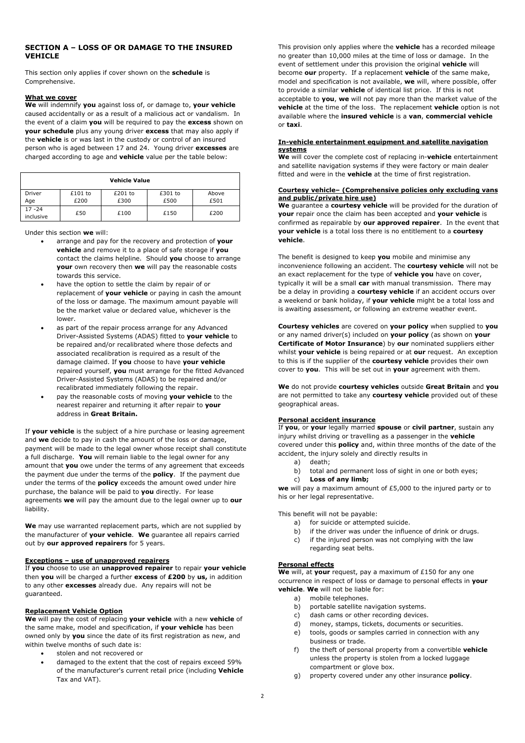# **SECTION A – LOSS OF OR DAMAGE TO THE INSURED VEHICLE**

This section only applies if cover shown on the **schedule** is Comprehensive.

#### **What we cover**

**We** will indemnify **you** against loss of, or damage to, **your vehicle** caused accidentally or as a result of a malicious act or vandalism. In the event of a claim **you** will be required to pay the **excess** shown on **your schedule** plus any young driver **excess** that may also apply if the **vehicle** is or was last in the custody or control of an insured person who is aged between 17 and 24. Young driver **excesses** are charged according to age and **vehicle** value per the table below:

| <b>Vehicle Value</b>   |                 |                 |                 |               |
|------------------------|-----------------|-----------------|-----------------|---------------|
| Driver<br>Age          | £101 to<br>£200 | £201 to<br>£300 | £301 to<br>£500 | Above<br>£501 |
| $17 - 24$<br>inclusive | £50             | £100            | £150            | £200          |

Under this section **we** will:

- arrange and pay for the recovery and protection of **your vehicle** and remove it to a place of safe storage if **you** contact the claims helpline. Should **you** choose to arrange **your** own recovery then **we** will pay the reasonable costs towards this service.
- have the option to settle the claim by repair of or replacement of **your vehicle** or paying in cash the amount of the loss or damage. The maximum amount payable will be the market value or declared value, whichever is the lower.
- as part of the repair process arrange for any Advanced Driver-Assisted Systems (ADAS) fitted to **your vehicle** to be repaired and/or recalibrated where those defects and associated recalibration is required as a result of the damage claimed. If **you** choose to have **your vehicle** repaired yourself, **you** must arrange for the fitted Advanced Driver-Assisted Systems (ADAS) to be repaired and/or recalibrated immediately following the repair.
- pay the reasonable costs of moving **your vehicle** to the nearest repairer and returning it after repair to **your** address in **Great Britain.**

If **your vehicle** is the subject of a hire purchase or leasing agreement and **we** decide to pay in cash the amount of the loss or damage, payment will be made to the legal owner whose receipt shall constitute a full discharge. **You** will remain liable to the legal owner for any amount that **you** owe under the terms of any agreement that exceeds the payment due under the terms of the **policy**. If the payment due under the terms of the **policy** exceeds the amount owed under hire purchase, the balance will be paid to **you** directly. For lease agreements **we** will pay the amount due to the legal owner up to **our** liability.

**We** may use warranted replacement parts, which are not supplied by the manufacturer of **your vehicle**. **We** guarantee all repairs carried out by **our approved repairers** for 5 years.

#### **Exceptions – use of unapproved repairers**

If **you** choose to use an **unapproved repairer** to repair **your vehicle** then **you** will be charged a further **excess** of **£200** by **us,** in addition to any other **excesses** already due. Any repairs will not be guaranteed.

### **Replacement Vehicle Option**

**We** will pay the cost of replacing **your vehicle** with a new **vehicle** of the same make, model and specification, if **your vehicle** has been owned only by **you** since the date of its first registration as new, and within twelve months of such date is:

- stolen and not recovered or
- damaged to the extent that the cost of repairs exceed 59% of the manufacturer's current retail price (including **Vehicle** Tax and VAT).

This provision only applies where the **vehicle** has a recorded mileage no greater than 10,000 miles at the time of loss or damage. In the event of settlement under this provision the original **vehicle** will become **our** property. If a replacement **vehicle** of the same make, model and specification is not available, **we** will, where possible, offer to provide a similar **vehicle** of identical list price. If this is not acceptable to **you**, **we** will not pay more than the market value of the **vehicle** at the time of the loss. The replacement **vehicle** option is not available where the **insured vehicle** is a **van**, **commercial vehicle** or **taxi**.

#### **In-vehicle entertainment equipment and satellite navigation systems**

**We** will cover the complete cost of replacing in-**vehicle** entertainment and satellite navigation systems if they were factory or main dealer fitted and were in the **vehicle** at the time of first registration.

#### **Courtesy vehicle– (Comprehensive policies only excluding vans and public/private hire use)**

**We** guarantee a **courtesy vehicle** will be provided for the duration of **your** repair once the claim has been accepted and **your vehicle** is confirmed as repairable by **our approved repairer**. In the event that **your vehicle** is a total loss there is no entitlement to a **courtesy vehicle**.

The benefit is designed to keep **you** mobile and minimise any inconvenience following an accident. The **courtesy vehicle** will not be an exact replacement for the type of **vehicle you** have on cover, typically it will be a small **car** with manual transmission. There may be a delay in providing a **courtesy vehicle** if an accident occurs over a weekend or bank holiday, if **your vehicle** might be a total loss and is awaiting assessment, or following an extreme weather event.

**Courtesy vehicles** are covered on **your policy** when supplied to **you** or any named driver(s) included on **your policy** (as shown on **your Certificate of Motor Insurance**) by **our** nominated suppliers either whilst **your vehicle** is being repaired or at **our** request. An exception to this is if the supplier of the **courtesy vehicle** provides their own cover to **you**. This will be set out in **your** agreement with them.

**We** do not provide **courtesy vehicles** outside **Great Britain** and **you** are not permitted to take any **courtesy vehicle** provided out of these geographical areas.

### **Personal accident insurance**

If **you**, or **your** legally married **spouse** or **civil partner**, sustain any injury whilst driving or travelling as a passenger in the **vehicle** covered under this **policy** and, within three months of the date of the accident, the injury solely and directly results in

- a) death;
- b) total and permanent loss of sight in one or both eyes;
- c) **Loss of any limb;**

**we** will pay a maximum amount of £5,000 to the injured party or to his or her legal representative.

This benefit will not be payable:

- a) for suicide or attempted suicide.
- b) if the driver was under the influence of drink or drugs.
- c) if the injured person was not complying with the law regarding seat helts.

## **Personal effects**

**We** will, at **your** request, pay a maximum of £150 for any one occurrence in respect of loss or damage to personal effects in **your vehicle**. **We** will not be liable for:

- a) mobile telephones.
- b) portable satellite navigation systems.
- c) dash cams or other recording devices.
- d) money, stamps, tickets, documents or securities.
- e) tools, goods or samples carried in connection with any business or trade.
- f) the theft of personal property from a convertible **vehicle** unless the property is stolen from a locked luggage compartment or glove box.
- g) property covered under any other insurance **policy**.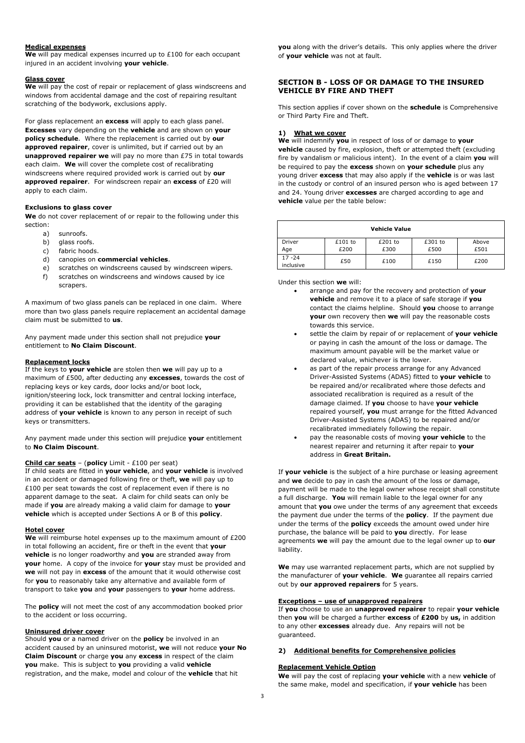### **Medical expenses**

**We** will pay medical expenses incurred up to £100 for each occupant injured in an accident involving **your vehicle**.

# **Glass cover**

We will pay the cost of repair or replacement of glass windscreens and windows from accidental damage and the cost of repairing resultant scratching of the bodywork, exclusions apply.

For glass replacement an **excess** will apply to each glass panel. **Excesses** vary depending on the **vehicle** and are shown on **your policy schedule**. Where the replacement is carried out by **our approved repairer**, cover is unlimited, but if carried out by an **unapproved repairer we** will pay no more than £75 in total towards each claim. **We** will cover the complete cost of recalibrating windscreens where required provided work is carried out by **our approved repairer**. For windscreen repair an **excess** of £20 will apply to each claim.

# **Exclusions to glass cover**

**We** do not cover replacement of or repair to the following under this section:

- a) sunroofs.
- b) glass roofs.
- c) fabric hoods.
- d) canopies on **commercial vehicles**.
- e) scratches on windscreens caused by windscreen wipers.
- f) scratches on windscreens and windows caused by ice scrapers.

A maximum of two glass panels can be replaced in one claim. Where more than two glass panels require replacement an accidental damage claim must be submitted to **us**.

Any payment made under this section shall not prejudice **your** entitlement to **No Claim Discount**.

#### **Replacement locks**

If the keys to **your vehicle** are stolen then **we** will pay up to a maximum of £500, after deducting any **excesses**, towards the cost of replacing keys or key cards, door locks and/or boot lock, ignition/steering lock, lock transmitter and central locking interface, providing it can be established that the identity of the garaging address of **your vehicle** is known to any person in receipt of such keys or transmitters.

Any payment made under this section will prejudice **your** entitlement to **No Claim Discount**.

#### **Child car seats** – (**policy** Limit - £100 per seat)

If child seats are fitted in **your vehicle**, and **your vehicle** is involved in an accident or damaged following fire or theft, **we** will pay up to £100 per seat towards the cost of replacement even if there is no apparent damage to the seat. A claim for child seats can only be made if **you** are already making a valid claim for damage to **your vehicle** which is accepted under Sections A or B of this **policy**.

#### **Hotel cover**

**We** will reimburse hotel expenses up to the maximum amount of £200 in total following an accident, fire or theft in the event that **your vehicle** is no longer roadworthy and **you** are stranded away from **your** home. A copy of the invoice for **your** stay must be provided and **we** will not pay in **excess** of the amount that it would otherwise cost for **you** to reasonably take any alternative and available form of transport to take **you** and **your** passengers to **your** home address.

The **policy** will not meet the cost of any accommodation booked prior to the accident or loss occurring.

#### **Uninsured driver cover**

Should **you** or a named driver on the **policy** be involved in an accident caused by an uninsured motorist, **we** will not reduce **your No Claim Discount** or charge **you** any **excess** in respect of the claim **you** make. This is subject to **you** providing a valid **vehicle** registration, and the make, model and colour of the **vehicle** that hit

**you** along with the driver's details. This only applies where the driver of **your vehicle** was not at fault.

# **SECTION B - LOSS OF OR DAMAGE TO THE INSURED VEHICLE BY FIRE AND THEFT**

This section applies if cover shown on the **schedule** is Comprehensive or Third Party Fire and Theft.

#### **1) What we cover**

**We** will indemnify **you** in respect of loss of or damage to **your vehicle** caused by fire, explosion, theft or attempted theft (excluding fire by vandalism or malicious intent). In the event of a claim **you** will be required to pay the **excess** shown on **your schedule** plus any young driver **excess** that may also apply if the **vehicle** is or was last in the custody or control of an insured person who is aged between 17 and 24. Young driver **excesses** are charged according to age and **vehicle** value per the table below:

| <b>Vehicle Value</b>   |                   |                 |                 |               |
|------------------------|-------------------|-----------------|-----------------|---------------|
| Driver<br>Age          | $£101$ to<br>£200 | £201 to<br>£300 | £301 to<br>£500 | Above<br>£501 |
| $17 - 24$<br>inclusive | £50               | £100            | £150            | £200          |

Under this section **we** will:

- arrange and pay for the recovery and protection of **your vehicle** and remove it to a place of safe storage if **you** contact the claims helpline. Should **you** choose to arrange **your** own recovery then **we** will pay the reasonable costs towards this service.
- settle the claim by repair of or replacement of **your vehicle** or paying in cash the amount of the loss or damage. The maximum amount payable will be the market value or declared value, whichever is the lower.
- as part of the repair process arrange for any Advanced Driver-Assisted Systems (ADAS) fitted to **your vehicle** to be repaired and/or recalibrated where those defects and associated recalibration is required as a result of the damage claimed. If **you** choose to have **your vehicle** repaired yourself, **you** must arrange for the fitted Advanced Driver-Assisted Systems (ADAS) to be repaired and/or recalibrated immediately following the repair.
- pay the reasonable costs of moving **your vehicle** to the nearest repairer and returning it after repair to **your** address in **Great Britain.**

If **your vehicle** is the subject of a hire purchase or leasing agreement and **we** decide to pay in cash the amount of the loss or damage, payment will be made to the legal owner whose receipt shall constitute a full discharge. **You** will remain liable to the legal owner for any amount that **you** owe under the terms of any agreement that exceeds the payment due under the terms of the **policy**. If the payment due under the terms of the **policy** exceeds the amount owed under hire purchase, the balance will be paid to **you** directly. For lease agreements **we** will pay the amount due to the legal owner up to **our** liability.

**We** may use warranted replacement parts, which are not supplied by the manufacturer of **your vehicle**. **We** guarantee all repairs carried out by **our approved repairers** for 5 years.

### **Exceptions – use of unapproved repairers**

If **you** choose to use an **unapproved repairer** to repair **your vehicle** then **you** will be charged a further **excess** of **£200** by **us,** in addition to any other **excesses** already due. Any repairs will not be guaranteed.

#### **2) Additional benefits for Comprehensive policies**

#### **Replacement Vehicle Option**

**We** will pay the cost of replacing **your vehicle** with a new **vehicle** of the same make, model and specification, if **your vehicle** has been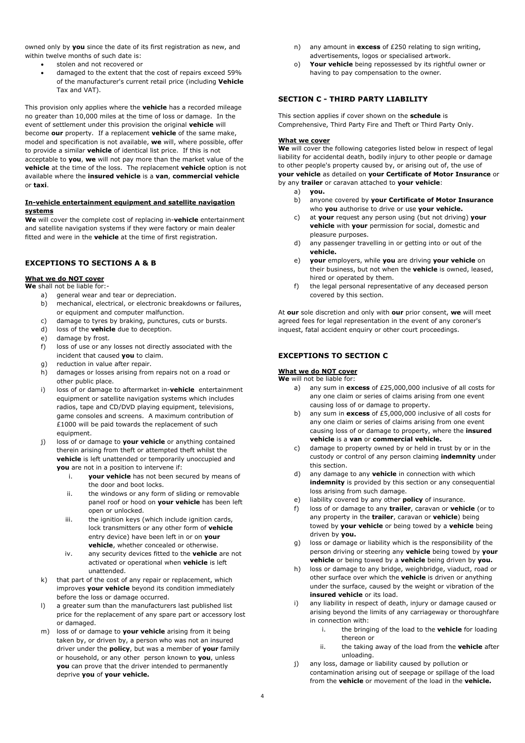owned only by **you** since the date of its first registration as new, and within twelve months of such date is:

- stolen and not recovered or
- damaged to the extent that the cost of repairs exceed 59% of the manufacturer's current retail price (including **Vehicle** Tax and VAT).

This provision only applies where the **vehicle** has a recorded mileage no greater than 10,000 miles at the time of loss or damage. In the event of settlement under this provision the original **vehicle** will become **our** property. If a replacement **vehicle** of the same make, model and specification is not available, **we** will, where possible, offer to provide a similar **vehicle** of identical list price. If this is not acceptable to **you**, **we** will not pay more than the market value of the **vehicle** at the time of the loss. The replacement **vehicle** option is not available where the **insured vehicle** is a **van**, **commercial vehicle** or **taxi**.

## **In-vehicle entertainment equipment and satellite navigation systems**

**We** will cover the complete cost of replacing in-**vehicle** entertainment and satellite navigation systems if they were factory or main dealer fitted and were in the **vehicle** at the time of first registration.

# **EXCEPTIONS TO SECTIONS A & B**

# **What we do NOT cover**

- **We** shall not be liable for:
	- a) general wear and tear or depreciation. b) mechanical, electrical, or electronic breakdowns or failures,
	- or equipment and computer malfunction.
	- c) damage to tyres by braking, punctures, cuts or bursts.
	- d) loss of the **vehicle** due to deception.
	- e) damage by frost.
	- f) loss of use or any losses not directly associated with the incident that caused **you** to claim.
	- g) reduction in value after repair.
	- h) damages or losses arising from repairs not on a road or other public place.
	- i) loss of or damage to aftermarket in-**vehicle** entertainment equipment or satellite navigation systems which includes radios, tape and CD/DVD playing equipment, televisions, game consoles and screens. A maximum contribution of £1000 will be paid towards the replacement of such equipment.
	- j) loss of or damage to **your vehicle** or anything contained therein arising from theft or attempted theft whilst the **vehicle** is left unattended or temporarily unoccupied and **you** are not in a position to intervene if:
		- i. **your vehicle** has not been secured by means of the door and boot locks.
		- ii. the windows or any form of sliding or removable panel roof or hood on **your vehicle** has been left open or unlocked.
		- iii. the ignition keys (which include ignition cards, lock transmitters or any other form of **vehicle** entry device) have been left in or on **your vehicle**, whether concealed or otherwise.
		- iv. any security devices fitted to the **vehicle** are not activated or operational when **vehicle** is left unattended.
	- k) that part of the cost of any repair or replacement, which improves **your vehicle** beyond its condition immediately before the loss or damage occurred.
	- l) a greater sum than the manufacturers last published list price for the replacement of any spare part or accessory lost or damaged.
	- m) loss of or damage to **your vehicle** arising from it being taken by, or driven by, a person who was not an insured driver under the **policy**, but was a member of **your** family or household, or any other person known to **you**, unless **you** can prove that the driver intended to permanently deprive **you** of **your vehicle.**
- n) any amount in **excess** of £250 relating to sign writing, advertisements, logos or specialised artwork.
- o) **Your vehicle** being repossessed by its rightful owner or having to pay compensation to the owner*.*

## **SECTION C - THIRD PARTY LIABILITY**

This section applies if cover shown on the **schedule** is Comprehensive, Third Party Fire and Theft or Third Party Only.

#### **What we cover**

**We** will cover the following categories listed below in respect of legal liability for accidental death, bodily injury to other people or damage to other people's property caused by, or arising out of, the use of **your vehicle** as detailed on **your Certificate of Motor Insurance** or by any **trailer** or caravan attached to **your vehicle**:

- a) **you.**
- b) anyone covered by **your Certificate of Motor Insurance** who **you** authorise to drive or use **your vehicle.**
- c) at **your** request any person using (but not driving) **your vehicle** with **your** permission for social, domestic and pleasure purposes.
- d) any passenger travelling in or getting into or out of the **vehicle.**
- e) **your** employers, while **you** are driving **your vehicle** on their business, but not when the **vehicle** is owned, leased, hired or operated by them.
- f) the legal personal representative of any deceased person covered by this section.

At **our** sole discretion and only with **our** prior consent, **we** will meet agreed fees for legal representation in the event of any coroner's inquest, fatal accident enquiry or other court proceedings.

# **EXCEPTIONS TO SECTION C**

# **What we do NOT cover**

#### **We** will not be liable for:

- a) any sum in **excess** of £25,000,000 inclusive of all costs for any one claim or series of claims arising from one event causing loss of or damage to property.
- b) any sum in **excess** of £5,000,000 inclusive of all costs for any one claim or series of claims arising from one event causing loss of or damage to property, where the **insured vehicle** is a **van** or **commercial vehicle.**
- c) damage to property owned by or held in trust by or in the custody or control of any person claiming **indemnity** under this section.
- d) any damage to any **vehicle** in connection with which **indemnity** is provided by this section or any consequential loss arising from such damage.
- e) liability covered by any other **policy** of insurance.
- f) loss of or damage to any **trailer**, caravan or **vehicle** (or to any property in the **trailer**, caravan or **vehicle**) being towed by **your vehicle** or being towed by a **vehicle** being driven by **you.**
- g) loss or damage or liability which is the responsibility of the person driving or steering any **vehicle** being towed by **your vehicle** or being towed by a **vehicle** being driven by **you.**
- h) loss or damage to any bridge, weighbridge, viaduct, road or other surface over which the **vehicle** is driven or anything under the surface, caused by the weight or vibration of the **insured vehicle** or its load.
- i) any liability in respect of death, injury or damage caused or arising beyond the limits of any carriageway or thoroughfare in connection with:
	- i. the bringing of the load to the **vehicle** for loading thereon or
	- ii. the taking away of the load from the **vehicle** after unloading.
- j) any loss, damage or liability caused by pollution or contamination arising out of seepage or spillage of the load from the **vehicle** or movement of the load in the **vehicle.**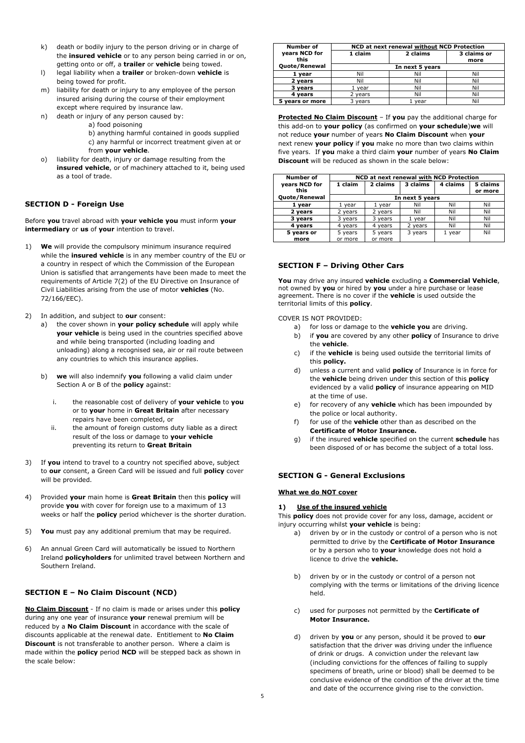- k) death or bodily injury to the person driving or in charge of the **insured vehicle** or to any person being carried in or on, getting onto or off, a **trailer** or **vehicle** being towed.
- l) legal liability when a **trailer** or broken-down **vehicle** is being towed for profit.
- m) liability for death or injury to any employee of the person insured arising during the course of their employment except where required by insurance law.
- n) death or injury of any person caused by:
	- a) food poisoning
	- b) anything harmful contained in goods supplied c) any harmful or incorrect treatment given at or from **your vehicle**.
- o) liability for death, injury or damage resulting from the **insured vehicle**, or of machinery attached to it, being used as a tool of trade.

# **SECTION D - Foreign Use**

Before **you** travel abroad with **your vehicle you** must inform **your intermediary** or **us** of **your** intention to travel.

- 1) **We** will provide the compulsory minimum insurance required while the **insured vehicle** is in any member country of the EU or a country in respect of which the Commission of the European Union is satisfied that arrangements have been made to meet the requirements of Article 7(2) of the EU Directive on Insurance of Civil Liabilities arising from the use of motor **vehicles** (No. 72/166/EEC).
- 2) In addition, and subject to **our** consent:
	- a) the cover shown in **your policy schedule** will apply while **your vehicle** is being used in the countries specified above and while being transported (including loading and unloading) along a recognised sea, air or rail route between any countries to which this insurance applies.
	- b) **we** will also indemnify **you** following a valid claim under Section A or B of the **policy** against:
		- i. the reasonable cost of delivery of **your vehicle** to **you** or to **your** home in **Great Britain** after necessary repairs have been completed, or
		- ii. the amount of foreign customs duty liable as a direct result of the loss or damage to **your vehicle**  preventing its return to **Great Britain**
- 3) If **you** intend to travel to a country not specified above, subject to **our** consent, a Green Card will be issued and full **policy** cover will be provided.
- 4) Provided **your** main home is **Great Britain** then this **policy** will provide **you** with cover for foreign use to a maximum of 13 weeks or half the **policy** period whichever is the shorter duration.
- 5) **You** must pay any additional premium that may be required.
- 6) An annual Green Card will automatically be issued to Northern Ireland **policyholders** for unlimited travel between Northern and Southern Ireland.

# **SECTION E – No Claim Discount (NCD)**

**No Claim Discount** - If no claim is made or arises under this **policy** during any one year of insurance **your** renewal premium will be reduced by a **No Claim Discount** in accordance with the scale of discounts applicable at the renewal date. Entitlement to **No Claim Discount** is not transferable to another person. Where a claim is made within the **policy** period **NCD** will be stepped back as shown in the scale below:

| Number of             | NCD at next renewal without NCD Protection |          |                     |  |  |
|-----------------------|--------------------------------------------|----------|---------------------|--|--|
| years NCD for<br>this | 1 claim                                    | 2 claims | 3 claims or<br>more |  |  |
| Quote/Renewal         | In next 5 years                            |          |                     |  |  |
| 1 year                | Nil                                        | Nil      | Nil                 |  |  |
| 2 years               | Nil                                        | Nil      | Nil                 |  |  |
| 3 years               | 1 year                                     | Nil      | Nil                 |  |  |
| 4 vears               | 2 years                                    | Nil      | Nil                 |  |  |
| 5 years or more       | 3 vears                                    | vear     | Nil                 |  |  |

**Protected No Claim Discount** - If you pay the additional charge for this add-on to **your policy** (as confirmed on **your schedule**)**we** will not reduce **your** number of years **No Claim Discount** when **your**  next renew **your policy** if **you** make no more than two claims within five years. If **you** make a third claim **your** number of years **No Claim Discount** will be reduced as shown in the scale below:

| <b>Number of</b> | NCD at next renewal with NCD Protection                 |         |         |        |         |  |
|------------------|---------------------------------------------------------|---------|---------|--------|---------|--|
| years NCD for    | 3 claims<br>4 claims<br>5 claims<br>1 claim<br>2 claims |         |         |        |         |  |
| this             |                                                         |         |         |        | or more |  |
| Quote/Renewal    | In next 5 years                                         |         |         |        |         |  |
| 1 year           | year                                                    | year    | Nil     | Nil    | Nil     |  |
| 2 vears          | 2 years                                                 | 2 years | Nil     | Nil    | Nil     |  |
| 3 years          | 3 years                                                 | 3 years | vear    | Nil    | Nil     |  |
| 4 vears          | 4 years                                                 | 4 vears | 2 years | Nil    | Nil     |  |
| 5 years or       | 5 years                                                 | 5 years | 3 years | 1 year | Nil     |  |
| more             | or more                                                 | or more |         |        |         |  |

### **SECTION F – Driving Other Cars**

**You** may drive any insured **vehicle** excluding a **Commercial Vehicle**, not owned by **you** or hired by **you** under a hire purchase or lease agreement. There is no cover if the **vehicle** is used outside the territorial limits of this **policy**.

COVER IS NOT PROVIDED:

- a) for loss or damage to the **vehicle you** are driving.
- b) if **you** are covered by any other **policy** of Insurance to drive the **vehicle**.
- c) if the **vehicle** is being used outside the territorial limits of this **policy.**
- d) unless a current and valid **policy** of Insurance is in force for the **vehicle** being driven under this section of this **policy** evidenced by a valid **policy** of insurance appearing on MID at the time of use.
- e) for recovery of any **vehicle** which has been impounded by the police or local authority.
- f) for use of the **vehicle** other than as described on the **Certificate of Motor Insurance.**
- g) if the insured **vehicle** specified on the current **schedule** has been disposed of or has become the subject of a total loss.

## **SECTION G - General Exclusions**

### **What we do NOT cover**

### **1) Use of the insured vehicle**

This **policy** does not provide cover for any loss, damage, accident or injury occurring whilst **your vehicle** is being:

- a) driven by or in the custody or control of a person who is not permitted to drive by the **Certificate of Motor Insurance** or by a person who to **your** knowledge does not hold a licence to drive the **vehicle.**
- b) driven by or in the custody or control of a person not complying with the terms or limitations of the driving licence held.
- c) used for purposes not permitted by the **Certificate of Motor Insurance.**
- d) driven by **you** or any person, should it be proved to **our** satisfaction that the driver was driving under the influence of drink or drugs. A conviction under the relevant law (including convictions for the offences of failing to supply specimens of breath, urine or blood) shall be deemed to be conclusive evidence of the condition of the driver at the time and date of the occurrence giving rise to the conviction.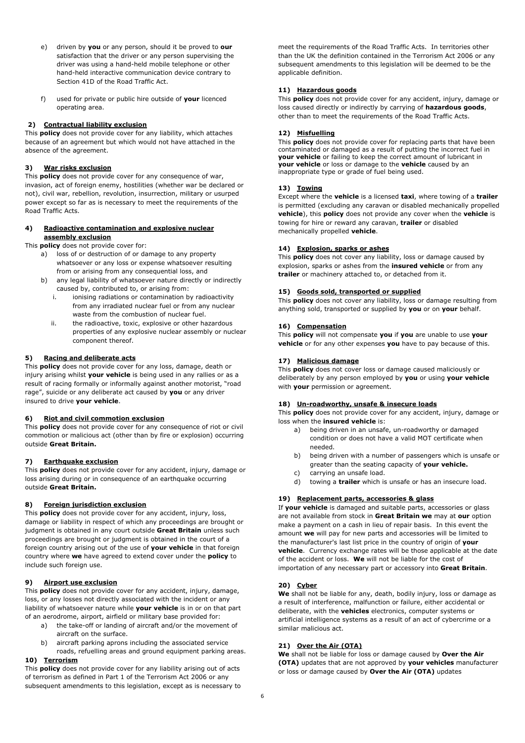- e) driven by **you** or any person, should it be proved to **our** satisfaction that the driver or any person supervising the driver was using a hand-held mobile telephone or other hand-held interactive communication device contrary to Section 41D of the Road Traffic Act.
- f) used for private or public hire outside of **your** licenced operating area.

# **2) Contractual liability exclusion**

This **policy** does not provide cover for any liability, which attaches because of an agreement but which would not have attached in the absence of the agreement.

## **3) War risks exclusion**

This **policy** does not provide cover for any consequence of war, invasion, act of foreign enemy, hostilities (whether war be declared or not), civil war, rebellion, revolution, insurrection, military or usurped power except so far as is necessary to meet the requirements of the Road Traffic Acts.

## **4) Radioactive contamination and explosive nuclear assembly exclusion**

This **policy** does not provide cover for:

- a) loss of or destruction of or damage to any property whatsoever or any loss or expense whatsoever resulting from or arising from any consequential loss, and
- b) any legal liability of whatsoever nature directly or indirectly caused by, contributed to, or arising from:
	- i. ionising radiations or contamination by radioactivity from any irradiated nuclear fuel or from any nuclear waste from the combustion of nuclear fuel.
	- ii. the radioactive, toxic, explosive or other hazardous properties of any explosive nuclear assembly or nuclear component thereof.

# **5) Racing and deliberate acts**

This **policy** does not provide cover for any loss, damage, death or injury arising whilst **your vehicle** is being used in any rallies or as a result of racing formally or informally against another motorist, "road rage", suicide or any deliberate act caused by **you** or any driver insured to drive **your vehicle**.

### **6) Riot and civil commotion exclusion**

This **policy** does not provide cover for any consequence of riot or civil commotion or malicious act (other than by fire or explosion) occurring outside **Great Britain.**

### **7) Earthquake exclusion**

This **policy** does not provide cover for any accident, injury, damage or loss arising during or in consequence of an earthquake occurring outside **Great Britain.**

### **8) Foreign jurisdiction exclusion**

This **policy** does not provide cover for any accident, injury, loss, damage or liability in respect of which any proceedings are brought or judgment is obtained in any court outside **Great Britain** unless such proceedings are brought or judgment is obtained in the court of a foreign country arising out of the use of **your vehicle** in that foreign country where **we** have agreed to extend cover under the **policy** to include such foreign use.

# **9) Airport use exclusion**

This **policy** does not provide cover for any accident, injury, damage, loss, or any losses not directly associated with the incident or any liability of whatsoever nature while **your vehicle** is in or on that part of an aerodrome, airport, airfield or military base provided for:

- a) the take-off or landing of aircraft and/or the movement of aircraft on the surface.
- b) aircraft parking aprons including the associated service
- roads, refuelling areas and ground equipment parking areas. **10) Terrorism**

This **policy** does not provide cover for any liability arising out of acts of terrorism as defined in Part 1 of the Terrorism Act 2006 or any subsequent amendments to this legislation, except as is necessary to meet the requirements of the Road Traffic Acts. In territories other than the UK the definition contained in the Terrorism Act 2006 or any subsequent amendments to this legislation will be deemed to be the applicable definition.

# **11) Hazardous goods**

This **policy** does not provide cover for any accident, injury, damage or loss caused directly or indirectly by carrying of **hazardous goods**, other than to meet the requirements of the Road Traffic Acts.

# **12) Misfuelling**

This **policy** does not provide cover for replacing parts that have been contaminated or damaged as a result of putting the incorrect fuel in **your vehicle** or failing to keep the correct amount of lubricant in **your vehicle** or loss or damage to the **vehicle** caused by an inappropriate type or grade of fuel being used.

# **13) Towing**

Except where the **vehicle** is a licensed **taxi**, where towing of a **trailer** is permitted (excluding any caravan or disabled mechanically propelled **vehicle**), this **policy** does not provide any cover when the **vehicle** is towing for hire or reward any caravan, **trailer** or disabled mechanically propelled **vehicle**.

### **14) Explosion, sparks or ashes**

This **policy** does not cover any liability, loss or damage caused by explosion, sparks or ashes from the **insured vehicle** or from any **trailer** or machinery attached to, or detached from it.

### **15) Goods sold, transported or supplied**

This **policy** does not cover any liability, loss or damage resulting from anything sold, transported or supplied by **you** or on **your** behalf.

# **16) Compensation**

This **policy** will not compensate **you** if **you** are unable to use **your vehicle** or for any other expenses **you** have to pay because of this.

## **17) Malicious damage**

This **policy** does not cover loss or damage caused maliciously or deliberately by any person employed by **you** or using **your vehicle** with **your** permission or agreement.

### **18) Un-roadworthy, unsafe & insecure loads**

This **policy** does not provide cover for any accident, injury, damage or loss when the **insured vehicle** is:

- a) being driven in an unsafe, un-roadworthy or damaged condition or does not have a valid MOT certificate when needed.
- b) being driven with a number of passengers which is unsafe or greater than the seating capacity of **your vehicle.**
- c) carrying an unsafe load.
- d) towing a **trailer** which is unsafe or has an insecure load.

### **19) Replacement parts, accessories & glass**

If **your vehicle** is damaged and suitable parts, accessories or glass are not available from stock in **Great Britain we** may at **our** option make a payment on a cash in lieu of repair basis. In this event the amount **we** will pay for new parts and accessories will be limited to the manufacturer's last list price in the country of origin of **your vehicle**. Currency exchange rates will be those applicable at the date of the accident or loss. **We** will not be liable for the cost of importation of any necessary part or accessory into **Great Britain**.

### **20) Cyber**

**We** shall not be liable for any, death, bodily injury, loss or damage as a result of interference, malfunction or failure, either accidental or deliberate, with the **vehicles** electronics, computer systems or artificial intelligence systems as a result of an act of cybercrime or a similar malicious act.

# **21) Over the Air (OTA)**

**We** shall not be liable for loss or damage caused by **Over the Air (OTA)** updates that are not approved by **your vehicles** manufacturer or loss or damage caused by **Over the Air (OTA)** updates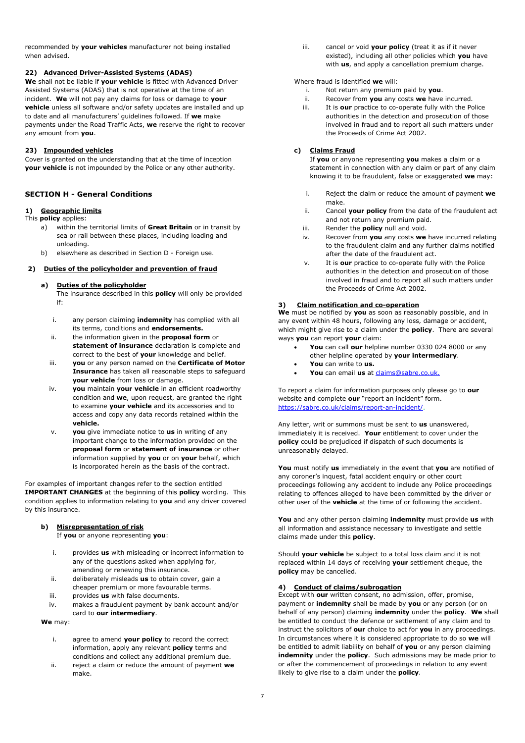recommended by **your vehicles** manufacturer not being installed when advised.

# **22) Advanced Driver-Assisted Systems (ADAS)**

**We** shall not be liable if **your vehicle** is fitted with Advanced Driver Assisted Systems (ADAS) that is not operative at the time of an incident. **We** will not pay any claims for loss or damage to **your vehicle** unless all software and/or safety updates are installed and up to date and all manufacturers' guidelines followed. If **we** make payments under the Road Traffic Acts, **we** reserve the right to recover any amount from **you**.

# **23) Impounded vehicles**

Cover is granted on the understanding that at the time of inception **your vehicle** is not impounded by the Police or any other authority.

# **SECTION H - General Conditions**

# **1) Geographic limits**

This **policy** applies:

- a) within the territorial limits of **Great Britain** or in transit by sea or rail between these places, including loading and unloading.
- b) elsewhere as described in Section D Foreign use.

### **2) Duties of the policyholder and prevention of fraud**

#### **a) Duties of the policyholder**

The insurance described in this **policy** will only be provided if:

- i. any person claiming **indemnity** has complied with all its terms, conditions and **endorsements.**
- ii. the information given in the **proposal form** or **statement of insurance** declaration is complete and correct to the best of **your** knowledge and belief.
- iii. **you** or any person named on the **Certificate of Motor Insurance** has taken all reasonable steps to safeguard **your vehicle** from loss or damage.
- iv. **you** maintain **your vehicle** in an efficient roadworthy condition and **we**, upon request, are granted the right to examine **your vehicle** and its accessories and to access and copy any data records retained within the **vehicle.**
- v. **you** give immediate notice to **us** in writing of any important change to the information provided on the **proposal form** or **statement of insurance** or other information supplied by **you** or on **your** behalf, which is incorporated herein as the basis of the contract.

For examples of important changes refer to the section entitled **IMPORTANT CHANGES** at the beginning of this **policy** wording. This condition applies to information relating to **you** and any driver covered by this insurance.

# **b) Misrepresentation of risk**

If **you** or anyone representing **you**:

- i. provides **us** with misleading or incorrect information to any of the questions asked when applying for, amending or renewing this insurance.
- ii. deliberately misleads **us** to obtain cover, gain a cheaper premium or more favourable terms.
- iii. provides **us** with false documents.
- iv. makes a fraudulent payment by bank account and/or card to **our intermediary**.

**We** may:

- i. agree to amend **your policy** to record the correct information, apply any relevant **policy** terms and conditions and collect any additional premium due.
- ii. reject a claim or reduce the amount of payment **we** make.

iii. cancel or void **your policy** (treat it as if it never existed), including all other policies which **you** have with **us**, and apply a cancellation premium charge.

Where fraud is identified **we** will:

- i. Not return any premium paid by **you**.
- ii. Recover from **you** any costs **we** have incurred.
- iii. It is **our** practice to co-operate fully with the Police authorities in the detection and prosecution of those involved in fraud and to report all such matters under the Proceeds of Crime Act 2002.

## **c) Claims Fraud**

If **you** or anyone representing **you** makes a claim or a statement in connection with any claim or part of any claim knowing it to be fraudulent, false or exaggerated **we** may:

- i. Reject the claim or reduce the amount of payment **we** make.
- ii. Cancel **your policy** from the date of the fraudulent act and not return any premium paid.
- iii. Render the **policy** null and void.
- iv. Recover from **you** any costs **we** have incurred relating to the fraudulent claim and any further claims notified after the date of the fraudulent act.
- v. It is **our** practice to co-operate fully with the Police authorities in the detection and prosecution of those involved in fraud and to report all such matters under the Proceeds of Crime Act 2002.

# **3) Claim notification and co-operation**

**We** must be notified by **you** as soon as reasonably possible, and in any event within 48 hours, following any loss, damage or accident, which might give rise to a claim under the **policy**. There are several ways **you** can report **your** claim:

- **You** can call **our** helpline number 0330 024 8000 or any other helpline operated by **your intermediary**.
- **You** can write to **us.**
- You can email us at **claims@sabre.co.uk.**

To report a claim for information purposes only please go to **our** website and complete **our** "report an incident" form. https://sabre.co.uk/claims/report-an-incident/.

Any letter, writ or summons must be sent to **us** unanswered, immediately it is received. **Your** entitlement to cover under the **policy** could be prejudiced if dispatch of such documents is unreasonably delayed.

**You** must notify **us** immediately in the event that **you** are notified of any coroner's inquest, fatal accident enquiry or other court proceedings following any accident to include any Police proceedings relating to offences alleged to have been committed by the driver or other user of the **vehicle** at the time of or following the accident.

**You** and any other person claiming **indemnity** must provide **us** with all information and assistance necessary to investigate and settle claims made under this **policy**.

Should **your vehicle** be subject to a total loss claim and it is not replaced within 14 days of receiving **your** settlement cheque, the **policy** may be cancelled.

## **4) Conduct of claims/subrogation**

Except with **our** written consent, no admission, offer, promise, payment or **indemnity** shall be made by **you** or any person (or on behalf of any person) claiming **indemnity** under the **policy**. **We** shall be entitled to conduct the defence or settlement of any claim and to instruct the solicitors of **our** choice to act for **you** in any proceedings. In circumstances where it is considered appropriate to do so **we** will be entitled to admit liability on behalf of **you** or any person claiming **indemnity** under the **policy**. Such admissions may be made prior to or after the commencement of proceedings in relation to any event likely to give rise to a claim under the **policy**.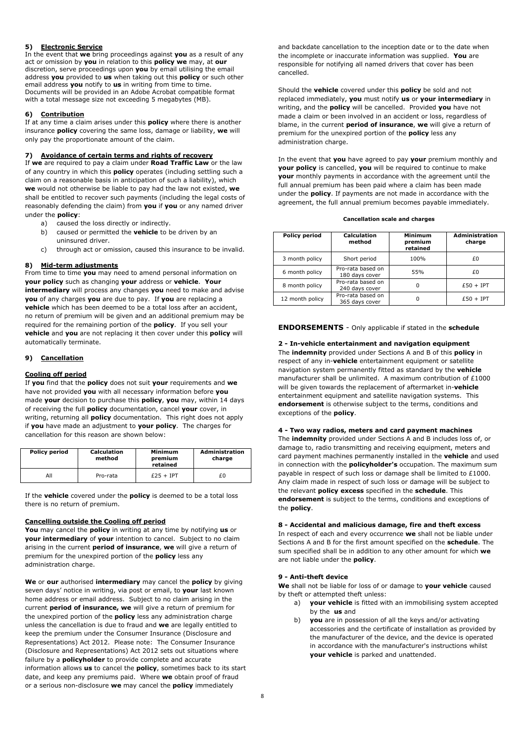# **5) Electronic Service**

In the event that **we** bring proceedings against **you** as a result of any act or omission by **you** in relation to this **policy we** may, at **our** discretion, serve proceedings upon **you** by email utilising the email address **you** provided to **us** when taking out this **policy** or such other email address **you** notify to **us** in writing from time to time. Documents will be provided in an Adobe Acrobat compatible format with a total message size not exceeding 5 megabytes (MB).

# **6) Contribution**

If at any time a claim arises under this **policy** where there is another insurance **policy** covering the same loss, damage or liability, **we** will only pay the proportionate amount of the claim.

## **7) Avoidance of certain terms and rights of recovery**

If **we** are required to pay a claim under **Road Traffic Law** or the law of any country in which this **policy** operates (including settling such a claim on a reasonable basis in anticipation of such a liability), which **we** would not otherwise be liable to pay had the law not existed, **we** shall be entitled to recover such payments (including the legal costs of reasonably defending the claim) from **you** if **you** or any named driver under the **policy**:

- a) caused the loss directly or indirectly.
- b) caused or permitted the **vehicle** to be driven by an uninsured driver.
- c) through act or omission, caused this insurance to be invalid.

### **8) Mid-term adjustments**

From time to time **you** may need to amend personal information on **your policy** such as changing **your** address or **vehicle**. **Your intermediary** will process any changes **you** need to make and advise **you** of any charges **you** are due to pay. If **you** are replacing a **vehicle** which has been deemed to be a total loss after an accident, no return of premium will be given and an additional premium may be required for the remaining portion of the **policy**. If you sell your **vehicle** and **you** are not replacing it then cover under this **policy** will automatically terminate.

# **9) Cancellation**

### **Cooling off period**

If **you** find that the **policy** does not suit **your** requirements and **we** have not provided **you** with all necessary information before **you** made **your** decision to purchase this **policy**, **you** may, within 14 days of receiving the full **policy** documentation, cancel **your** cover, in writing, returning all **policy** documentation. This right does not apply if **you** have made an adjustment to **your policy**. The charges for cancellation for this reason are shown below:

| <b>Policy period</b> | <b>Calculation</b><br>method | Minimum<br>premium<br>retained | <b>Administration</b><br>charge |
|----------------------|------------------------------|--------------------------------|---------------------------------|
| All                  | Pro-rata                     | $£25 + IPT$                    | £0                              |

If the **vehicle** covered under the **policy** is deemed to be a total loss there is no return of premium.

### **Cancelling outside the Cooling off period**

**You** may cancel the **policy** in writing at any time by notifying **us** or **your intermediary** of **your** intention to cancel. Subject to no claim arising in the current **period of insurance**, **we** will give a return of premium for the unexpired portion of the **policy** less any administration charge.

**We** or **our** authorised **intermediary** may cancel the **policy** by giving seven days' notice in writing, via post or email, to **your** last known home address or email address. Subject to no claim arising in the current **period of insurance, we** will give a return of premium for the unexpired portion of the **policy** less any administration charge unless the cancellation is due to fraud and **we** are legally entitled to keep the premium under the Consumer Insurance (Disclosure and Representations) Act 2012. Please note: The Consumer Insurance (Disclosure and Representations) Act 2012 sets out situations where failure by a **policyholder** to provide complete and accurate information allows **us** to cancel the **policy**, sometimes back to its start date, and keep any premiums paid. Where **we** obtain proof of fraud or a serious non-disclosure **we** may cancel the **policy** immediately

and backdate cancellation to the inception date or to the date when the incomplete or inaccurate information was supplied. **You** are responsible for notifying all named drivers that cover has been cancelled.

Should the **vehicle** covered under this **policy** be sold and not replaced immediately, **you** must notify **us** or **your intermediary** in writing, and the **policy** will be cancelled. Provided **you** have not made a claim or been involved in an accident or loss, regardless of blame, in the current **period of insurance**, **we** will give a return of premium for the unexpired portion of the **policy** less any administration charge.

In the event that **you** have agreed to pay **your** premium monthly and **your policy** is cancelled, **you** will be required to continue to make **your** monthly payments in accordance with the agreement until the full annual premium has been paid where a claim has been made under the **policy**. If payments are not made in accordance with the agreement, the full annual premium becomes payable immediately.

**Cancellation scale and charges** 

| <b>Policy period</b> | <b>Calculation</b><br>method        | Minimum<br>premium<br>retained | <b>Administration</b><br>charge |
|----------------------|-------------------------------------|--------------------------------|---------------------------------|
| 3 month policy       | Short period                        | 100%                           | £Ο                              |
| 6 month policy       | Pro-rata based on<br>180 days cover | 55%                            | £Ο                              |
| 8 month policy       | Pro-rata based on<br>240 days cover | 0                              | $£50 + IPT$                     |
| 12 month policy      | Pro-rata based on<br>365 days cover | 0                              | $£50 + IPT$                     |

**ENDORSEMENTS** - Only applicable if stated in the **schedule**

# **2 - In-vehicle entertainment and navigation equipment**

The **indemnity** provided under Sections A and B of this **policy** in respect of any in-**vehicle** entertainment equipment or satellite navigation system permanently fitted as standard by the **vehicle** manufacturer shall be unlimited. A maximum contribution of £1000 will be given towards the replacement of aftermarket in-**vehicle** entertainment equipment and satellite navigation systems. This **endorsement** is otherwise subject to the terms, conditions and exceptions of the **policy**.

### **4 - Two way radios, meters and card payment machines**

The **indemnity** provided under Sections A and B includes loss of, or damage to, radio transmitting and receiving equipment, meters and card payment machines permanently installed in the **vehicle** and used in connection with the **policyholder's** occupation. The maximum sum payable in respect of such loss or damage shall be limited to £1000. Any claim made in respect of such loss or damage will be subject to the relevant **policy excess** specified in the **schedule**. This **endorsement** is subject to the terms, conditions and exceptions of the **policy**.

### **8 - Accidental and malicious damage, fire and theft excess**

In respect of each and every occurrence **we** shall not be liable under Sections A and B for the first amount specified on the **schedule**. The sum specified shall be in addition to any other amount for which **we** are not liable under the **policy**.

### **9 - Anti-theft device**

**We** shall not be liable for loss of or damage to **your vehicle** caused by theft or attempted theft unless:

- a) **your vehicle** is fitted with an immobilising system accepted by the **us** and
- b) **you** are in possession of all the keys and/or activating accessories and the certificate of installation as provided by the manufacturer of the device, and the device is operated in accordance with the manufacturer's instructions whilst **your vehicle** is parked and unattended.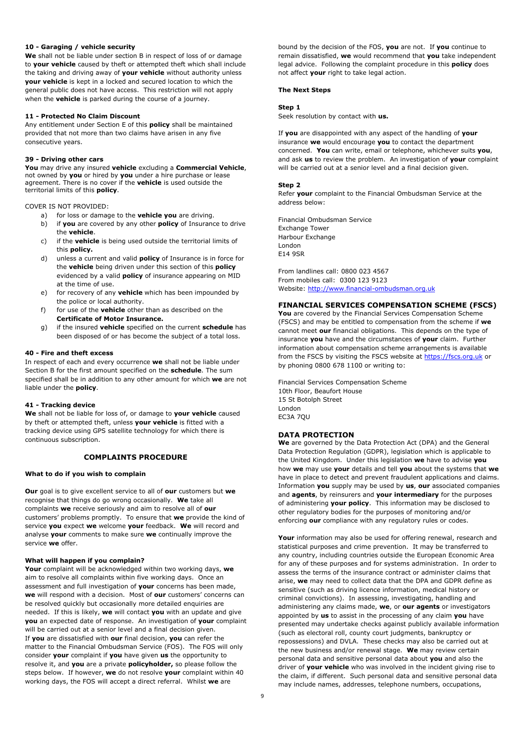### **10 - Garaging / vehicle security**

**We** shall not be liable under section B in respect of loss of or damage to **your vehicle** caused by theft or attempted theft which shall include the taking and driving away of **your vehicle** without authority unless **your vehicle** is kept in a locked and secured location to which the general public does not have access. This restriction will not apply when the **vehicle** is parked during the course of a journey.

#### **11 - Protected No Claim Discount**

Any entitlement under Section E of this **policy** shall be maintained provided that not more than two claims have arisen in any five consecutive years.

### **39 - Driving other cars**

**You** may drive any insured **vehicle** excluding a **Commercial Vehicle**, not owned by **you** or hired by **you** under a hire purchase or lease agreement. There is no cover if the **vehicle** is used outside the territorial limits of this **policy**.

COVER IS NOT PROVIDED:

- a) for loss or damage to the **vehicle you** are driving.
- b) if **you** are covered by any other **policy** of Insurance to drive the **vehicle**.
- c) if the **vehicle** is being used outside the territorial limits of this **policy.**
- d) unless a current and valid **policy** of Insurance is in force for the **vehicle** being driven under this section of this **policy** evidenced by a valid **policy** of insurance appearing on MID at the time of use.
- e) for recovery of any **vehicle** which has been impounded by the police or local authority.
- f) for use of the **vehicle** other than as described on the **Certificate of Motor Insurance.**
- g) if the insured **vehicle** specified on the current **schedule** has been disposed of or has become the subject of a total loss.

#### **40 - Fire and theft excess**

In respect of each and every occurrence **we** shall not be liable under Section B for the first amount specified on the **schedule**. The sum specified shall be in addition to any other amount for which **we** are not liable under the **policy**.

### **41 - Tracking device**

**We** shall not be liable for loss of, or damage to **your vehicle** caused by theft or attempted theft, unless **your vehicle** is fitted with a tracking device using GPS satellite technology for which there is continuous subscription.

# **COMPLAINTS PROCEDURE**

#### **What to do if you wish to complain**

**Our** goal is to give excellent service to all of **our** customers but **we** recognise that things do go wrong occasionally. **We** take all complaints **we** receive seriously and aim to resolve all of **our** customers' problems promptly. To ensure that **we** provide the kind of service **you** expect **we** welcome **your** feedback. **We** will record and analyse **your** comments to make sure **we** continually improve the service **we** offer.

#### **What will happen if you complain?**

**Your** complaint will be acknowledged within two working days, **we** aim to resolve all complaints within five working days. Once an assessment and full investigation of **your** concerns has been made, **we** will respond with a decision. Most of **our** customers' concerns can be resolved quickly but occasionally more detailed enquiries are needed. If this is likely, **we** will contact **you** with an update and give **you** an expected date of response. An investigation of **your** complaint will be carried out at a senior level and a final decision given. If **you** are dissatisfied with **our** final decision, **you** can refer the matter to the Financial Ombudsman Service (FOS). The FOS will only consider **your** complaint if **you** have given **us** the opportunity to resolve it, and **you** are a private **policyholder,** so please follow the steps below. If however, **we** do not resolve **your** complaint within 40 working days, the FOS will accept a direct referral. Whilst **we** are

bound by the decision of the FOS, **you** are not. If **you** continue to remain dissatisfied, **we** would recommend that **you** take independent legal advice. Following the complaint procedure in this **policy** does not affect **your** right to take legal action.

#### **The Next Steps**

## **Step 1**

Seek resolution by contact with **us.**

If **you** are disappointed with any aspect of the handling of **your** insurance **we** would encourage **you** to contact the department concerned. **You** can write, email or telephone, whichever suits **you**, and ask **us** to review the problem. An investigation of **your** complaint will be carried out at a senior level and a final decision given.

#### **Step 2**

Refer **your** complaint to the Financial Ombudsman Service at the address below:

Financial Ombudsman Service Exchange Tower Harbour Exchange London E14 9SR

From landlines call: 0800 023 4567 From mobiles call: 0300 123 9123 Website: http://www.financial-ombudsman.org.uk

# **FINANCIAL SERVICES COMPENSATION SCHEME (FSCS)**

**You** are covered by the Financial Services Compensation Scheme (FSCS) and may be entitled to compensation from the scheme if **we** cannot meet **our** financial obligations. This depends on the type of insurance **you** have and the circumstances of **your** claim. Further information about compensation scheme arrangements is available from the FSCS by visiting the FSCS website at https://fscs.org.uk or by phoning 0800 678 1100 or writing to:

Financial Services Compensation Scheme 10th Floor, Beaufort House 15 St Botolph Street London EC3A 7QU

#### **DATA PROTECTION**

**We** are governed by the Data Protection Act (DPA) and the General Data Protection Regulation (GDPR), legislation which is applicable to the United Kingdom. Under this legislation **we** have to advise **you** how **we** may use **your** details and tell **you** about the systems that **we** have in place to detect and prevent fraudulent applications and claims. Information **you** supply may be used by **us**, **our** associated companies and **agents**, by reinsurers and **your intermediary** for the purposes of administering **your policy**. This information may be disclosed to other regulatory bodies for the purposes of monitoring and/or enforcing **our** compliance with any regulatory rules or codes.

**Your** information may also be used for offering renewal, research and statistical purposes and crime prevention. It may be transferred to any country, including countries outside the European Economic Area for any of these purposes and for systems administration. In order to assess the terms of the insurance contract or administer claims that arise, **we** may need to collect data that the DPA and GDPR define as sensitive (such as driving licence information, medical history or criminal convictions). In assessing, investigating, handling and administering any claims made, **we**, or **our agents** or investigators appointed by **us** to assist in the processing of any claim **you** have presented may undertake checks against publicly available information (such as electoral roll, county court judgments, bankruptcy or repossessions) and DVLA. These checks may also be carried out at the new business and/or renewal stage. **We** may review certain personal data and sensitive personal data about **you** and also the driver of **your vehicle** who was involved in the incident giving rise to the claim, if different. Such personal data and sensitive personal data may include names, addresses, telephone numbers, occupations,